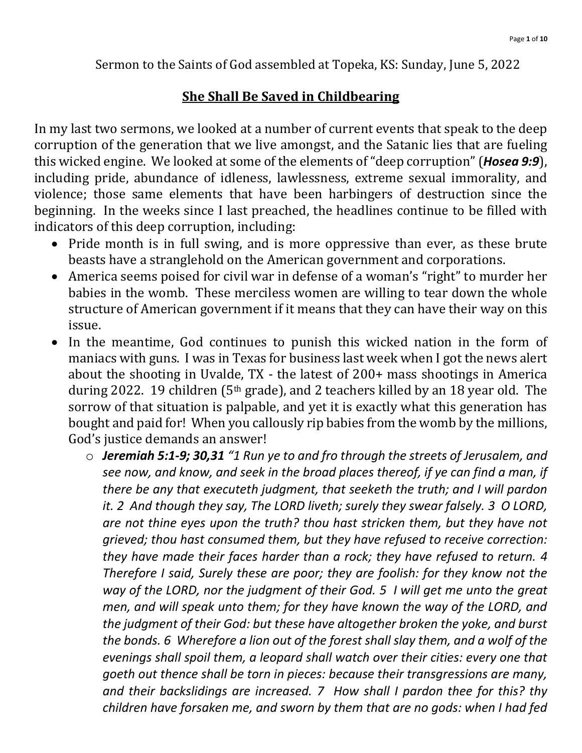Sermon to the Saints of God assembled at Topeka, KS: Sunday, June 5, 2022

### **She Shall Be Saved in Childbearing**

In my last two sermons, we looked at a number of current events that speak to the deep corruption of the generation that we live amongst, and the Satanic lies that are fueling this wicked engine. We looked at some of the elements of "deep corruption" (*Hosea 9:9*), including pride, abundance of idleness, lawlessness, extreme sexual immorality, and violence; those same elements that have been harbingers of destruction since the beginning. In the weeks since I last preached, the headlines continue to be filled with indicators of this deep corruption, including:

- Pride month is in full swing, and is more oppressive than ever, as these brute beasts have a stranglehold on the American government and corporations.
- America seems poised for civil war in defense of a woman's "right" to murder her babies in the womb. These merciless women are willing to tear down the whole structure of American government if it means that they can have their way on this issue.
- In the meantime, God continues to punish this wicked nation in the form of maniacs with guns. I was in Texas for business last week when I got the news alert about the shooting in Uvalde, TX - the latest of 200+ mass shootings in America during 2022. 19 children (5th grade), and 2 teachers killed by an 18 year old. The sorrow of that situation is palpable, and yet it is exactly what this generation has bought and paid for! When you callously rip babies from the womb by the millions, God's justice demands an answer!
	- o *Jeremiah 5:1-9; 30,31 "1 Run ye to and fro through the streets of Jerusalem, and see now, and know, and seek in the broad places thereof, if ye can find a man, if there be any that executeth judgment, that seeketh the truth; and I will pardon it. 2 And though they say, The LORD liveth; surely they swear falsely. 3 O LORD, are not thine eyes upon the truth? thou hast stricken them, but they have not grieved; thou hast consumed them, but they have refused to receive correction: they have made their faces harder than a rock; they have refused to return. 4 Therefore I said, Surely these are poor; they are foolish: for they know not the way of the LORD, nor the judgment of their God. 5 I will get me unto the great men, and will speak unto them; for they have known the way of the LORD, and the judgment of their God: but these have altogether broken the yoke, and burst the bonds. 6 Wherefore a lion out of the forest shall slay them, and a wolf of the evenings shall spoil them, a leopard shall watch over their cities: every one that goeth out thence shall be torn in pieces: because their transgressions are many, and their backslidings are increased. 7 How shall I pardon thee for this? thy children have forsaken me, and sworn by them that are no gods: when I had fed*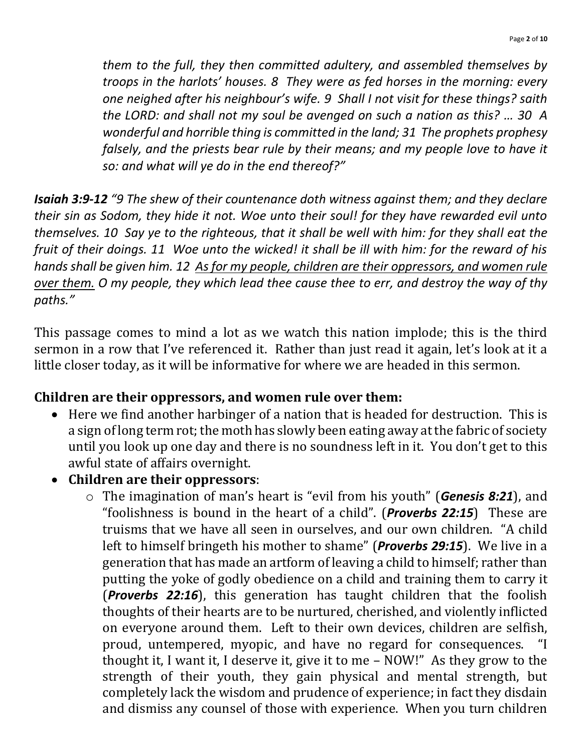*them to the full, they then committed adultery, and assembled themselves by troops in the harlots' houses. 8 They were as fed horses in the morning: every one neighed after his neighbour's wife. 9 Shall I not visit for these things? saith the LORD: and shall not my soul be avenged on such a nation as this? … 30 A wonderful and horrible thing is committed in the land; 31 The prophets prophesy falsely, and the priests bear rule by their means; and my people love to have it so: and what will ye do in the end thereof?"*

*Isaiah 3:9-12 "9 The shew of their countenance doth witness against them; and they declare their sin as Sodom, they hide it not. Woe unto their soul! for they have rewarded evil unto themselves. 10 Say ye to the righteous, that it shall be well with him: for they shall eat the fruit of their doings. 11 Woe unto the wicked! it shall be ill with him: for the reward of his hands shall be given him. 12 As for my people, children are their oppressors, and women rule over them. O my people, they which lead thee cause thee to err, and destroy the way of thy paths."*

This passage comes to mind a lot as we watch this nation implode; this is the third sermon in a row that I've referenced it. Rather than just read it again, let's look at it a little closer today, as it will be informative for where we are headed in this sermon.

#### **Children are their oppressors, and women rule over them:**

- Here we find another harbinger of a nation that is headed for destruction. This is a sign of long term rot; the moth has slowly been eating away at the fabric of society until you look up one day and there is no soundness left in it. You don't get to this awful state of affairs overnight.
- **Children are their oppressors**:
	- o The imagination of man's heart is "evil from his youth" (*Genesis 8:21*), and "foolishness is bound in the heart of a child". (*Proverbs 22:15*) These are truisms that we have all seen in ourselves, and our own children. "A child left to himself bringeth his mother to shame" (*Proverbs 29:15*). We live in a generation that has made an artform of leaving a child to himself; rather than putting the yoke of godly obedience on a child and training them to carry it (*Proverbs 22:16*), this generation has taught children that the foolish thoughts of their hearts are to be nurtured, cherished, and violently inflicted on everyone around them. Left to their own devices, children are selfish, proud, untempered, myopic, and have no regard for consequences. "I thought it, I want it, I deserve it, give it to me – NOW!" As they grow to the strength of their youth, they gain physical and mental strength, but completely lack the wisdom and prudence of experience; in fact they disdain and dismiss any counsel of those with experience. When you turn children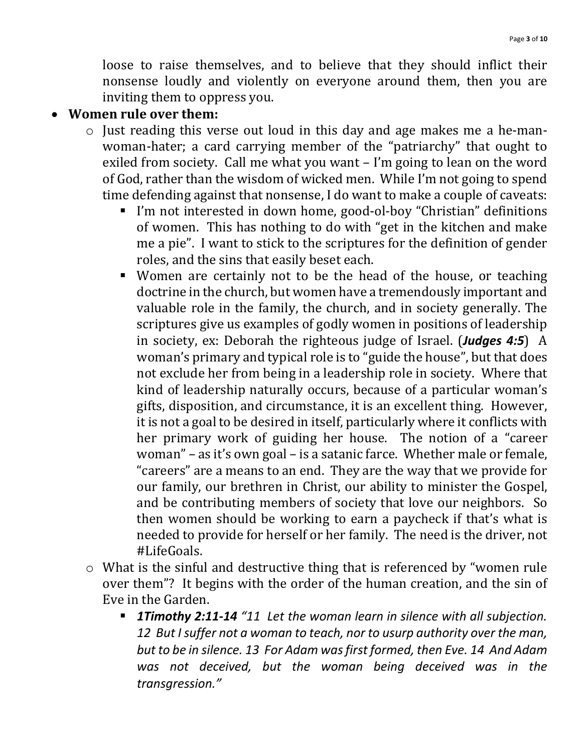loose to raise themselves, and to believe that they should inflict their nonsense loudly and violently on everyone around them, then you are inviting them to oppress you.

#### • **Women rule over them:**

- o Just reading this verse out loud in this day and age makes me a he-manwoman-hater; a card carrying member of the "patriarchy" that ought to exiled from society. Call me what you want – I'm going to lean on the word of God, rather than the wisdom of wicked men. While I'm not going to spend time defending against that nonsense, I do want to make a couple of caveats:
	- I'm not interested in down home, good-ol-boy "Christian" definitions of women. This has nothing to do with "get in the kitchen and make me a pie". I want to stick to the scriptures for the definition of gender roles, and the sins that easily beset each.
	- Women are certainly not to be the head of the house, or teaching doctrine in the church, but women have a tremendously important and valuable role in the family, the church, and in society generally. The scriptures give us examples of godly women in positions of leadership in society, ex: Deborah the righteous judge of Israel. (*Judges 4:5*) A woman's primary and typical role is to "guide the house", but that does not exclude her from being in a leadership role in society. Where that kind of leadership naturally occurs, because of a particular woman's gifts, disposition, and circumstance, it is an excellent thing. However, it is not a goal to be desired in itself, particularly where it conflicts with her primary work of guiding her house. The notion of a "career woman" – as it's own goal – is a satanic farce. Whether male or female, "careers" are a means to an end. They are the way that we provide for our family, our brethren in Christ, our ability to minister the Gospel, and be contributing members of society that love our neighbors. So then women should be working to earn a paycheck if that's what is needed to provide for herself or her family. The need is the driver, not #LifeGoals.
- o What is the sinful and destructive thing that is referenced by "women rule over them"? It begins with the order of the human creation, and the sin of Eve in the Garden.
	- *1Timothy 2:11-14 "11 Let the woman learn in silence with all subjection. 12 But I suffer not a woman to teach, nor to usurp authority over the man, but to be in silence. 13 For Adam was first formed, then Eve. 14 And Adam was not deceived, but the woman being deceived was in the transgression."*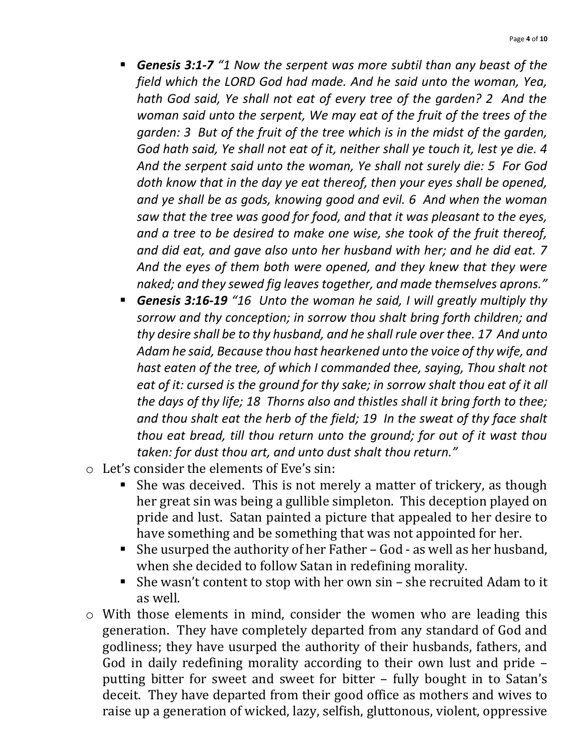- *Genesis 3:1-7 "1 Now the serpent was more subtil than any beast of the field which the LORD God had made. And he said unto the woman, Yea, hath God said, Ye shall not eat of every tree of the garden? 2 And the woman said unto the serpent, We may eat of the fruit of the trees of the garden: 3 But of the fruit of the tree which is in the midst of the garden, God hath said, Ye shall not eat of it, neither shall ye touch it, lest ye die. 4 And the serpent said unto the woman, Ye shall not surely die: 5 For God doth know that in the day ye eat thereof, then your eyes shall be opened, and ye shall be as gods, knowing good and evil. 6 And when the woman saw that the tree was good for food, and that it was pleasant to the eyes, and a tree to be desired to make one wise, she took of the fruit thereof, and did eat, and gave also unto her husband with her; and he did eat. 7 And the eyes of them both were opened, and they knew that they were naked; and they sewed fig leaves together, and made themselves aprons."*
- *Genesis 3:16-19 "16 Unto the woman he said, I will greatly multiply thy sorrow and thy conception; in sorrow thou shalt bring forth children; and thy desire shall be to thy husband, and he shall rule over thee. 17 And unto Adam he said, Because thou hast hearkened unto the voice of thy wife, and hast eaten of the tree, of which I commanded thee, saying, Thou shalt not eat of it: cursed is the ground for thy sake; in sorrow shalt thou eat of it all the days of thy life; 18 Thorns also and thistles shall it bring forth to thee; and thou shalt eat the herb of the field; 19 In the sweat of thy face shalt thou eat bread, till thou return unto the ground; for out of it wast thou taken: for dust thou art, and unto dust shalt thou return."*
- o Let's consider the elements of Eve's sin:
	- She was deceived. This is not merely a matter of trickery, as though her great sin was being a gullible simpleton. This deception played on pride and lust. Satan painted a picture that appealed to her desire to have something and be something that was not appointed for her.
	- She usurped the authority of her Father God as well as her husband, when she decided to follow Satan in redefining morality.
	- She wasn't content to stop with her own sin she recruited Adam to it as well.
- o With those elements in mind, consider the women who are leading this generation. They have completely departed from any standard of God and godliness; they have usurped the authority of their husbands, fathers, and God in daily redefining morality according to their own lust and pride – putting bitter for sweet and sweet for bitter – fully bought in to Satan's deceit. They have departed from their good office as mothers and wives to raise up a generation of wicked, lazy, selfish, gluttonous, violent, oppressive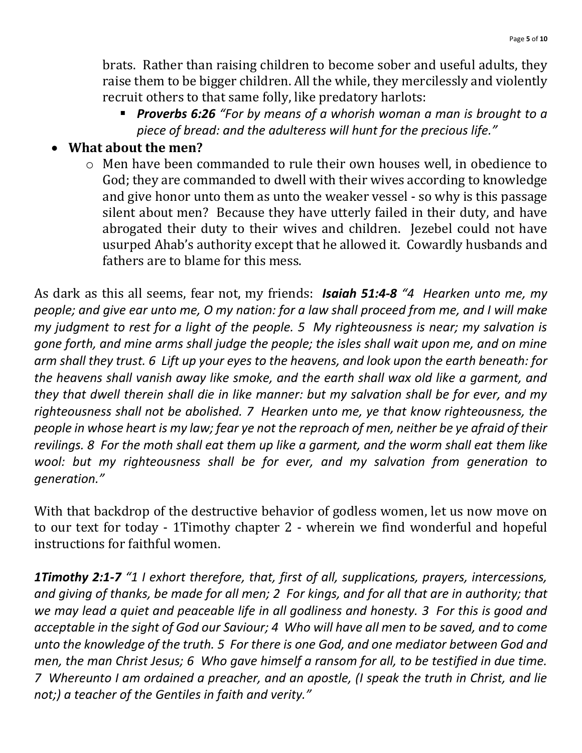brats. Rather than raising children to become sober and useful adults, they raise them to be bigger children. All the while, they mercilessly and violently recruit others to that same folly, like predatory harlots:

■ **Proverbs 6:26** "For by means of a whorish woman a man is brought to a *piece of bread: and the adulteress will hunt for the precious life."*

## • **What about the men?**

o Men have been commanded to rule their own houses well, in obedience to God; they are commanded to dwell with their wives according to knowledge and give honor unto them as unto the weaker vessel - so why is this passage silent about men? Because they have utterly failed in their duty, and have abrogated their duty to their wives and children. Jezebel could not have usurped Ahab's authority except that he allowed it. Cowardly husbands and fathers are to blame for this mess.

As dark as this all seems, fear not, my friends: *Isaiah 51:4-8 "4 Hearken unto me, my people; and give ear unto me, O my nation: for a law shall proceed from me, and I will make my judgment to rest for a light of the people. 5 My righteousness is near; my salvation is gone forth, and mine arms shall judge the people; the isles shall wait upon me, and on mine arm shall they trust. 6 Lift up your eyes to the heavens, and look upon the earth beneath: for the heavens shall vanish away like smoke, and the earth shall wax old like a garment, and they that dwell therein shall die in like manner: but my salvation shall be for ever, and my righteousness shall not be abolished. 7 Hearken unto me, ye that know righteousness, the people in whose heart is my law; fear ye not the reproach of men, neither be ye afraid of their revilings. 8 For the moth shall eat them up like a garment, and the worm shall eat them like wool: but my righteousness shall be for ever, and my salvation from generation to generation."*

With that backdrop of the destructive behavior of godless women, let us now move on to our text for today - 1Timothy chapter 2 - wherein we find wonderful and hopeful instructions for faithful women.

*1Timothy 2:1-7 "1 I exhort therefore, that, first of all, supplications, prayers, intercessions, and giving of thanks, be made for all men; 2 For kings, and for all that are in authority; that we may lead a quiet and peaceable life in all godliness and honesty. 3 For this is good and acceptable in the sight of God our Saviour; 4 Who will have all men to be saved, and to come unto the knowledge of the truth. 5 For there is one God, and one mediator between God and men, the man Christ Jesus; 6 Who gave himself a ransom for all, to be testified in due time. 7 Whereunto I am ordained a preacher, and an apostle, (I speak the truth in Christ, and lie not;) a teacher of the Gentiles in faith and verity."*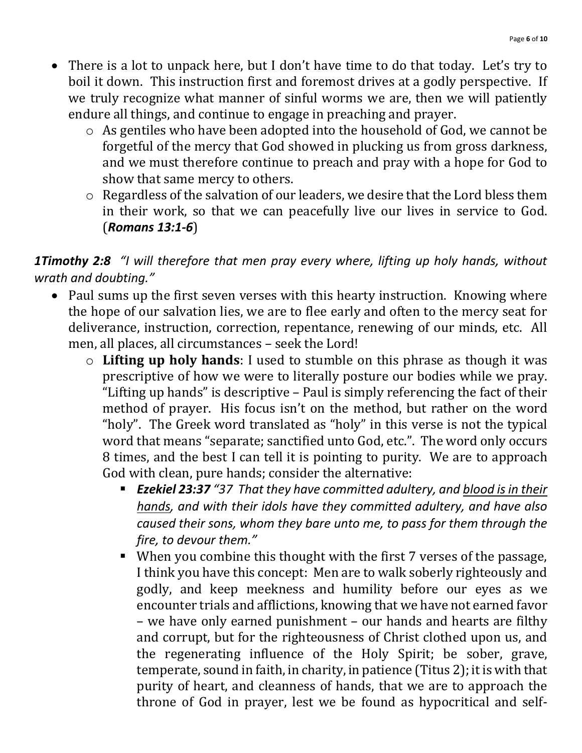- There is a lot to unpack here, but I don't have time to do that today. Let's try to boil it down. This instruction first and foremost drives at a godly perspective. If we truly recognize what manner of sinful worms we are, then we will patiently endure all things, and continue to engage in preaching and prayer.
	- o As gentiles who have been adopted into the household of God, we cannot be forgetful of the mercy that God showed in plucking us from gross darkness, and we must therefore continue to preach and pray with a hope for God to show that same mercy to others.
	- o Regardless of the salvation of our leaders, we desire that the Lord bless them in their work, so that we can peacefully live our lives in service to God. (*Romans 13:1-6*)

## *1Timothy 2:8 "I will therefore that men pray every where, lifting up holy hands, without wrath and doubting."*

- Paul sums up the first seven verses with this hearty instruction. Knowing where the hope of our salvation lies, we are to flee early and often to the mercy seat for deliverance, instruction, correction, repentance, renewing of our minds, etc. All men, all places, all circumstances – seek the Lord!
	- o **Lifting up holy hands**: I used to stumble on this phrase as though it was prescriptive of how we were to literally posture our bodies while we pray. "Lifting up hands" is descriptive – Paul is simply referencing the fact of their method of prayer. His focus isn't on the method, but rather on the word "holy". The Greek word translated as "holy" in this verse is not the typical word that means "separate; sanctified unto God, etc.". The word only occurs 8 times, and the best I can tell it is pointing to purity. We are to approach God with clean, pure hands; consider the alternative:
		- *Ezekiel 23:37 "37 That they have committed adultery, and blood is in their hands, and with their idols have they committed adultery, and have also caused their sons, whom they bare unto me, to pass for them through the fire, to devour them."*
		- When you combine this thought with the first 7 verses of the passage, I think you have this concept: Men are to walk soberly righteously and godly, and keep meekness and humility before our eyes as we encounter trials and afflictions, knowing that we have not earned favor – we have only earned punishment – our hands and hearts are filthy and corrupt, but for the righteousness of Christ clothed upon us, and the regenerating influence of the Holy Spirit; be sober, grave, temperate, sound in faith, in charity, in patience (Titus 2); it is with that purity of heart, and cleanness of hands, that we are to approach the throne of God in prayer, lest we be found as hypocritical and self-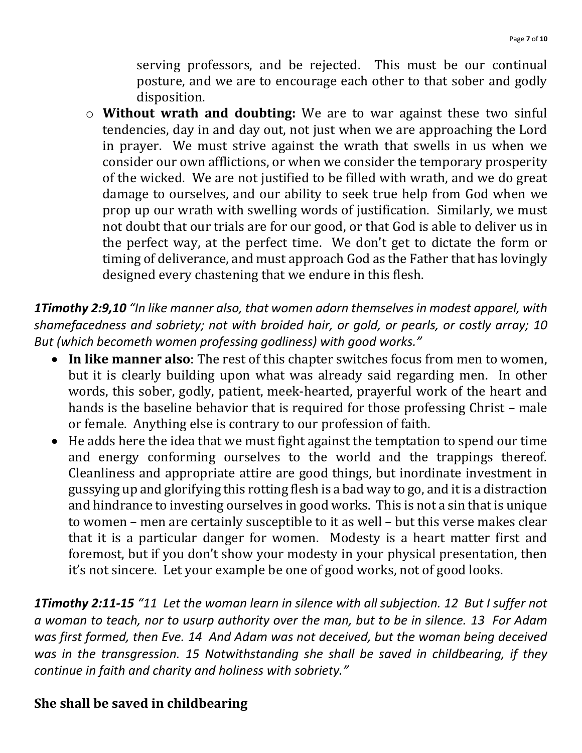serving professors, and be rejected. This must be our continual posture, and we are to encourage each other to that sober and godly disposition.

o **Without wrath and doubting:** We are to war against these two sinful tendencies, day in and day out, not just when we are approaching the Lord in prayer. We must strive against the wrath that swells in us when we consider our own afflictions, or when we consider the temporary prosperity of the wicked. We are not justified to be filled with wrath, and we do great damage to ourselves, and our ability to seek true help from God when we prop up our wrath with swelling words of justification. Similarly, we must not doubt that our trials are for our good, or that God is able to deliver us in the perfect way, at the perfect time. We don't get to dictate the form or timing of deliverance, and must approach God as the Father that has lovingly designed every chastening that we endure in this flesh.

*1Timothy 2:9,10 "In like manner also, that women adorn themselves in modest apparel, with shamefacedness and sobriety; not with broided hair, or gold, or pearls, or costly array; 10 But (which becometh women professing godliness) with good works."*

- **In like manner also**: The rest of this chapter switches focus from men to women, but it is clearly building upon what was already said regarding men. In other words, this sober, godly, patient, meek-hearted, prayerful work of the heart and hands is the baseline behavior that is required for those professing Christ – male or female. Anything else is contrary to our profession of faith.
- He adds here the idea that we must fight against the temptation to spend our time and energy conforming ourselves to the world and the trappings thereof. Cleanliness and appropriate attire are good things, but inordinate investment in gussying up and glorifying this rotting flesh is a bad way to go, and it is a distraction and hindrance to investing ourselves in good works. This is not a sin that is unique to women – men are certainly susceptible to it as well – but this verse makes clear that it is a particular danger for women. Modesty is a heart matter first and foremost, but if you don't show your modesty in your physical presentation, then it's not sincere. Let your example be one of good works, not of good looks.

*1Timothy 2:11-15 "11 Let the woman learn in silence with all subjection. 12 But I suffer not a woman to teach, nor to usurp authority over the man, but to be in silence. 13 For Adam was first formed, then Eve. 14 And Adam was not deceived, but the woman being deceived was in the transgression. 15 Notwithstanding she shall be saved in childbearing, if they continue in faith and charity and holiness with sobriety."*

# **She shall be saved in childbearing**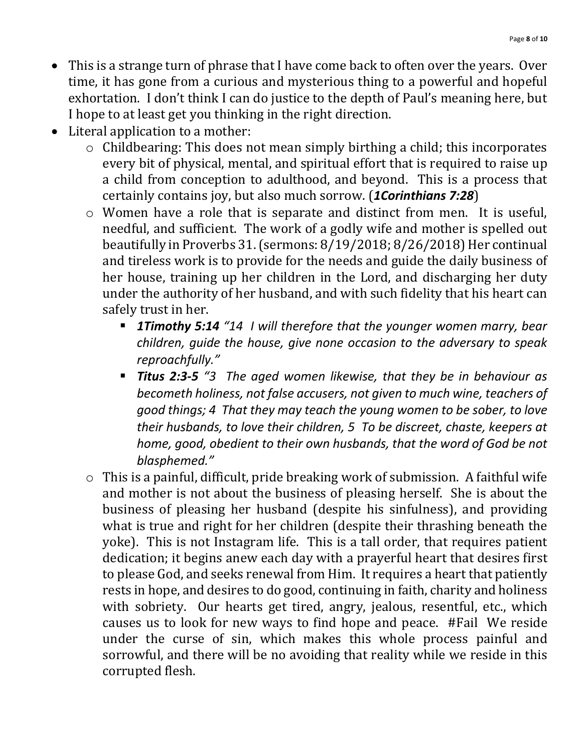- This is a strange turn of phrase that I have come back to often over the years. Over time, it has gone from a curious and mysterious thing to a powerful and hopeful exhortation. I don't think I can do justice to the depth of Paul's meaning here, but I hope to at least get you thinking in the right direction.
- Literal application to a mother:
	- o Childbearing: This does not mean simply birthing a child; this incorporates every bit of physical, mental, and spiritual effort that is required to raise up a child from conception to adulthood, and beyond. This is a process that certainly contains joy, but also much sorrow. (*1Corinthians 7:28*)
	- o Women have a role that is separate and distinct from men. It is useful, needful, and sufficient. The work of a godly wife and mother is spelled out beautifully in Proverbs 31.(sermons: 8/19/2018; 8/26/2018) Her continual and tireless work is to provide for the needs and guide the daily business of her house, training up her children in the Lord, and discharging her duty under the authority of her husband, and with such fidelity that his heart can safely trust in her.
		- *1Timothy 5:14 "14 I will therefore that the younger women marry, bear children, guide the house, give none occasion to the adversary to speak reproachfully."*
		- *Titus 2:3-5 "3 The aged women likewise, that they be in behaviour as becometh holiness, not false accusers, not given to much wine, teachers of good things; 4 That they may teach the young women to be sober, to love their husbands, to love their children, 5 To be discreet, chaste, keepers at home, good, obedient to their own husbands, that the word of God be not blasphemed."*
	- o This is a painful, difficult, pride breaking work of submission. A faithful wife and mother is not about the business of pleasing herself. She is about the business of pleasing her husband (despite his sinfulness), and providing what is true and right for her children (despite their thrashing beneath the yoke). This is not Instagram life. This is a tall order, that requires patient dedication; it begins anew each day with a prayerful heart that desires first to please God, and seeks renewal from Him. It requires a heart that patiently rests in hope, and desires to do good, continuing in faith, charity and holiness with sobriety. Our hearts get tired, angry, jealous, resentful, etc., which causes us to look for new ways to find hope and peace. #Fail We reside under the curse of sin, which makes this whole process painful and sorrowful, and there will be no avoiding that reality while we reside in this corrupted flesh.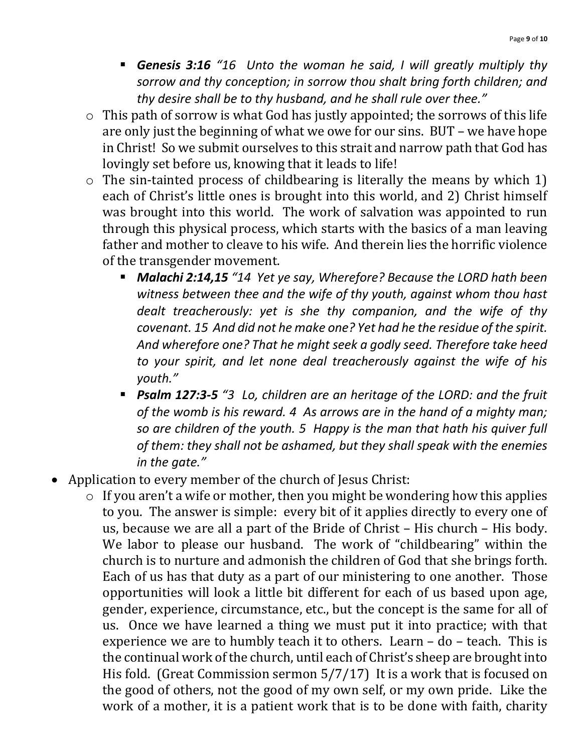- *Genesis 3:16 "16 Unto the woman he said, I will greatly multiply thy sorrow and thy conception; in sorrow thou shalt bring forth children; and thy desire shall be to thy husband, and he shall rule over thee."*
- o This path of sorrow is what God has justly appointed; the sorrows of this life are only just the beginning of what we owe for our sins. BUT – we have hope in Christ! So we submit ourselves to this strait and narrow path that God has lovingly set before us, knowing that it leads to life!
- o The sin-tainted process of childbearing is literally the means by which 1) each of Christ's little ones is brought into this world, and 2) Christ himself was brought into this world. The work of salvation was appointed to run through this physical process, which starts with the basics of a man leaving father and mother to cleave to his wife. And therein lies the horrific violence of the transgender movement.
	- *Malachi 2:14,15 "14 Yet ye say, Wherefore? Because the LORD hath been witness between thee and the wife of thy youth, against whom thou hast dealt treacherously: yet is she thy companion, and the wife of thy covenant. 15 And did not he make one? Yet had he the residue of the spirit. And wherefore one? That he might seek a godly seed. Therefore take heed to your spirit, and let none deal treacherously against the wife of his youth."*
	- **Psalm 127:3-5** "3 Lo, children are an heritage of the LORD: and the fruit *of the womb is his reward. 4 As arrows are in the hand of a mighty man; so are children of the youth. 5 Happy is the man that hath his quiver full of them: they shall not be ashamed, but they shall speak with the enemies in the gate."*
- Application to every member of the church of Jesus Christ:
	- o If you aren't a wife or mother, then you might be wondering how this applies to you. The answer is simple: every bit of it applies directly to every one of us, because we are all a part of the Bride of Christ – His church – His body. We labor to please our husband. The work of "childbearing" within the church is to nurture and admonish the children of God that she brings forth. Each of us has that duty as a part of our ministering to one another. Those opportunities will look a little bit different for each of us based upon age, gender, experience, circumstance, etc., but the concept is the same for all of us. Once we have learned a thing we must put it into practice; with that experience we are to humbly teach it to others. Learn – do – teach. This is the continual work of the church, until each of Christ's sheep are brought into His fold. (Great Commission sermon 5/7/17) It is a work that is focused on the good of others, not the good of my own self, or my own pride. Like the work of a mother, it is a patient work that is to be done with faith, charity